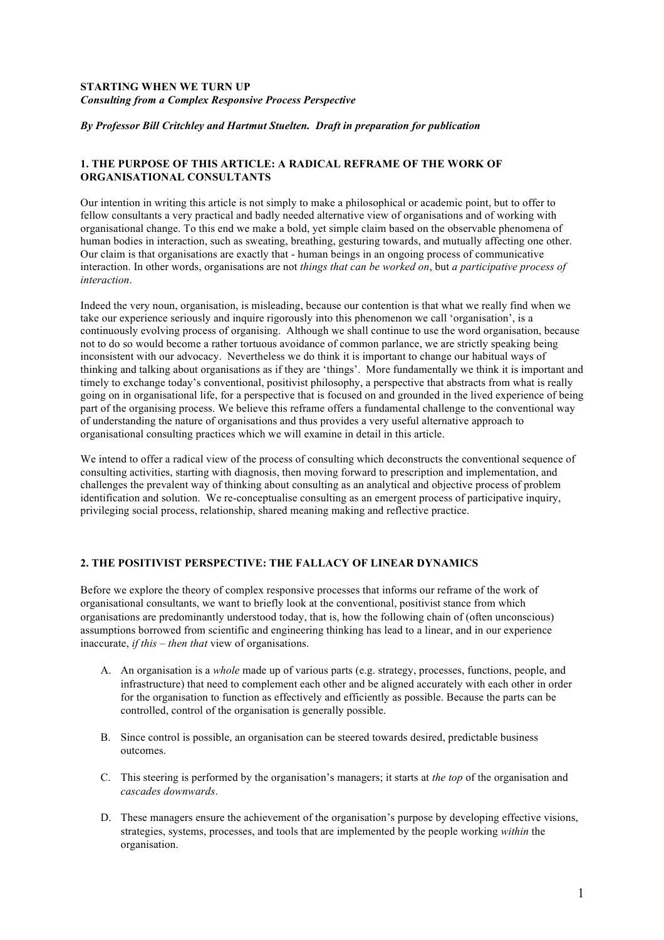# **STARTING WHEN WE TURN UP** *Consulting from a Complex Responsive Process Perspective*

## *By Professor Bill Critchley and Hartmut Stuelten. Draft in preparation for publication*

# **1. THE PURPOSE OF THIS ARTICLE: A RADICAL REFRAME OF THE WORK OF ORGANISATIONAL CONSULTANTS**

Our intention in writing this article is not simply to make a philosophical or academic point, but to offer to fellow consultants a very practical and badly needed alternative view of organisations and of working with organisational change. To this end we make a bold, yet simple claim based on the observable phenomena of human bodies in interaction, such as sweating, breathing, gesturing towards, and mutually affecting one other. Our claim is that organisations are exactly that - human beings in an ongoing process of communicative interaction. In other words, organisations are not *things that can be worked on*, but *a participative process of interaction*.

Indeed the very noun, organisation, is misleading, because our contention is that what we really find when we take our experience seriously and inquire rigorously into this phenomenon we call 'organisation', is a continuously evolving process of organising. Although we shall continue to use the word organisation, because not to do so would become a rather tortuous avoidance of common parlance, we are strictly speaking being inconsistent with our advocacy. Nevertheless we do think it is important to change our habitual ways of thinking and talking about organisations as if they are 'things'. More fundamentally we think it is important and timely to exchange today's conventional, positivist philosophy, a perspective that abstracts from what is really going on in organisational life, for a perspective that is focused on and grounded in the lived experience of being part of the organising process. We believe this reframe offers a fundamental challenge to the conventional way of understanding the nature of organisations and thus provides a very useful alternative approach to organisational consulting practices which we will examine in detail in this article.

We intend to offer a radical view of the process of consulting which deconstructs the conventional sequence of consulting activities, starting with diagnosis, then moving forward to prescription and implementation, and challenges the prevalent way of thinking about consulting as an analytical and objective process of problem identification and solution. We re-conceptualise consulting as an emergent process of participative inquiry, privileging social process, relationship, shared meaning making and reflective practice.

# **2. THE POSITIVIST PERSPECTIVE: THE FALLACY OF LINEAR DYNAMICS**

Before we explore the theory of complex responsive processes that informs our reframe of the work of organisational consultants, we want to briefly look at the conventional, positivist stance from which organisations are predominantly understood today, that is, how the following chain of (often unconscious) assumptions borrowed from scientific and engineering thinking has lead to a linear, and in our experience inaccurate, *if this – then that* view of organisations.

- A. An organisation is a *whole* made up of various parts (e.g. strategy, processes, functions, people, and infrastructure) that need to complement each other and be aligned accurately with each other in order for the organisation to function as effectively and efficiently as possible. Because the parts can be controlled, control of the organisation is generally possible.
- B. Since control is possible, an organisation can be steered towards desired, predictable business outcomes.
- C. This steering is performed by the organisation's managers; it starts at *the top* of the organisation and *cascades downwards*.
- D. These managers ensure the achievement of the organisation's purpose by developing effective visions, strategies, systems, processes, and tools that are implemented by the people working *within* the organisation.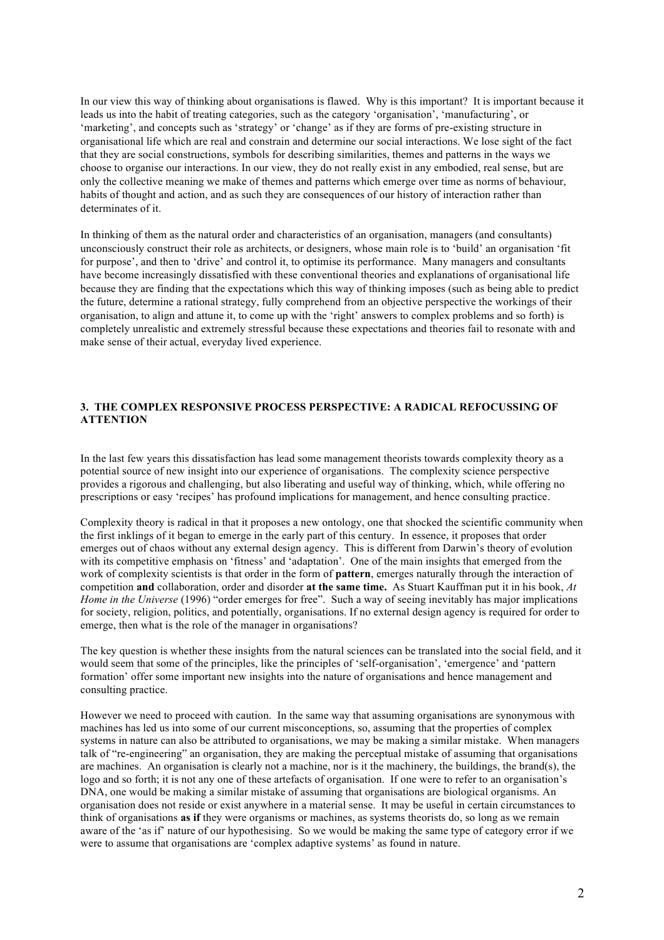In our view this way of thinking about organisations is flawed. Why is this important? It is important because it leads us into the habit of treating categories, such as the category 'organisation', 'manufacturing', or 'marketing', and concepts such as 'strategy' or 'change' as if they are forms of pre-existing structure in organisational life which are real and constrain and determine our social interactions. We lose sight of the fact that they are social constructions, symbols for describing similarities, themes and patterns in the ways we choose to organise our interactions. In our view, they do not really exist in any embodied, real sense, but are only the collective meaning we make of themes and patterns which emerge over time as norms of behaviour, habits of thought and action, and as such they are consequences of our history of interaction rather than determinates of it.

In thinking of them as the natural order and characteristics of an organisation, managers (and consultants) unconsciously construct their role as architects, or designers, whose main role is to 'build' an organisation 'fit for purpose', and then to 'drive' and control it, to optimise its performance. Many managers and consultants have become increasingly dissatisfied with these conventional theories and explanations of organisational life because they are finding that the expectations which this way of thinking imposes (such as being able to predict the future, determine a rational strategy, fully comprehend from an objective perspective the workings of their organisation, to align and attune it, to come up with the 'right' answers to complex problems and so forth) is completely unrealistic and extremely stressful because these expectations and theories fail to resonate with and make sense of their actual, everyday lived experience.

# **3. THE COMPLEX RESPONSIVE PROCESS PERSPECTIVE: A RADICAL REFOCUSSING OF ATTENTION**

In the last few years this dissatisfaction has lead some management theorists towards complexity theory as a potential source of new insight into our experience of organisations. The complexity science perspective provides a rigorous and challenging, but also liberating and useful way of thinking, which, while offering no prescriptions or easy 'recipes' has profound implications for management, and hence consulting practice.

Complexity theory is radical in that it proposes a new ontology, one that shocked the scientific community when the first inklings of it began to emerge in the early part of this century. In essence, it proposes that order emerges out of chaos without any external design agency. This is different from Darwin's theory of evolution with its competitive emphasis on 'fitness' and 'adaptation'. One of the main insights that emerged from the work of complexity scientists is that order in the form of **pattern**, emerges naturally through the interaction of competition **and** collaboration, order and disorder **at the same time.** As Stuart Kauffman put it in his book, *At Home in the Universe* (1996) "order emerges for free". Such a way of seeing inevitably has major implications for society, religion, politics, and potentially, organisations. If no external design agency is required for order to emerge, then what is the role of the manager in organisations?

The key question is whether these insights from the natural sciences can be translated into the social field, and it would seem that some of the principles, like the principles of 'self-organisation', 'emergence' and 'pattern formation' offer some important new insights into the nature of organisations and hence management and consulting practice.

However we need to proceed with caution. In the same way that assuming organisations are synonymous with machines has led us into some of our current misconceptions, so, assuming that the properties of complex systems in nature can also be attributed to organisations, we may be making a similar mistake. When managers talk of "re-engineering" an organisation, they are making the perceptual mistake of assuming that organisations are machines. An organisation is clearly not a machine, nor is it the machinery, the buildings, the brand(s), the logo and so forth; it is not any one of these artefacts of organisation. If one were to refer to an organisation's DNA, one would be making a similar mistake of assuming that organisations are biological organisms. An organisation does not reside or exist anywhere in a material sense. It may be useful in certain circumstances to think of organisations **as if** they were organisms or machines, as systems theorists do, so long as we remain aware of the 'as if' nature of our hypothesising. So we would be making the same type of category error if we were to assume that organisations are 'complex adaptive systems' as found in nature.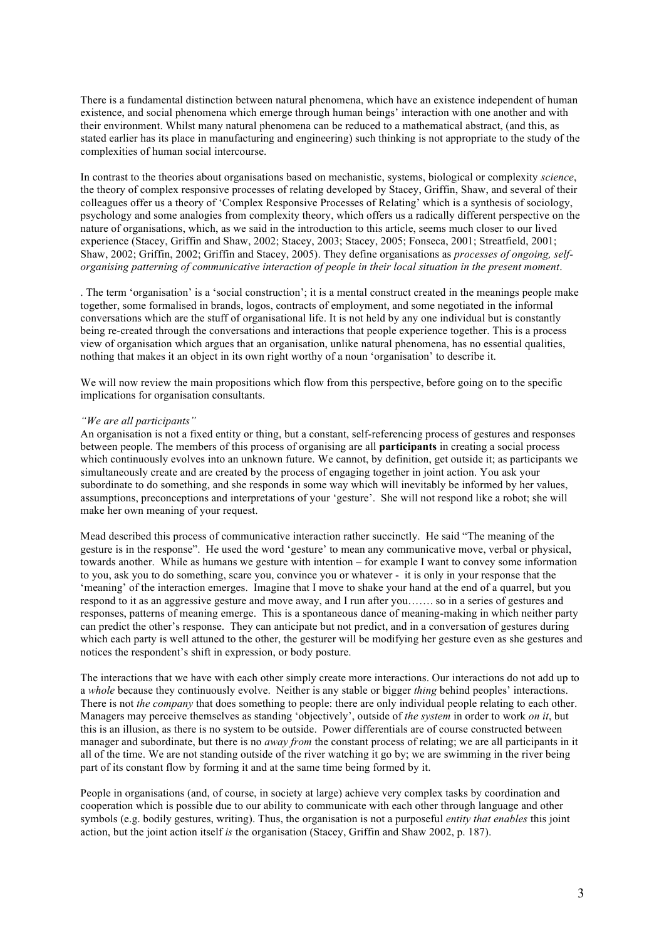There is a fundamental distinction between natural phenomena, which have an existence independent of human existence, and social phenomena which emerge through human beings' interaction with one another and with their environment. Whilst many natural phenomena can be reduced to a mathematical abstract, (and this, as stated earlier has its place in manufacturing and engineering) such thinking is not appropriate to the study of the complexities of human social intercourse.

In contrast to the theories about organisations based on mechanistic, systems, biological or complexity *science*, the theory of complex responsive processes of relating developed by Stacey, Griffin, Shaw, and several of their colleagues offer us a theory of 'Complex Responsive Processes of Relating' which is a synthesis of sociology, psychology and some analogies from complexity theory, which offers us a radically different perspective on the nature of organisations, which, as we said in the introduction to this article, seems much closer to our lived experience (Stacey, Griffin and Shaw, 2002; Stacey, 2003; Stacey, 2005; Fonseca, 2001; Streatfield, 2001; Shaw, 2002; Griffin, 2002; Griffin and Stacey, 2005). They define organisations as *processes of ongoing, selforganising patterning of communicative interaction of people in their local situation in the present moment*.

. The term 'organisation' is a 'social construction'; it is a mental construct created in the meanings people make together, some formalised in brands, logos, contracts of employment, and some negotiated in the informal conversations which are the stuff of organisational life. It is not held by any one individual but is constantly being re-created through the conversations and interactions that people experience together. This is a process view of organisation which argues that an organisation, unlike natural phenomena, has no essential qualities, nothing that makes it an object in its own right worthy of a noun 'organisation' to describe it.

We will now review the main propositions which flow from this perspective, before going on to the specific implications for organisation consultants.

#### *"We are all participants"*

An organisation is not a fixed entity or thing, but a constant, self-referencing process of gestures and responses between people. The members of this process of organising are all **participants** in creating a social process which continuously evolves into an unknown future. We cannot, by definition, get outside it; as participants we simultaneously create and are created by the process of engaging together in joint action. You ask your subordinate to do something, and she responds in some way which will inevitably be informed by her values, assumptions, preconceptions and interpretations of your 'gesture'. She will not respond like a robot; she will make her own meaning of your request.

Mead described this process of communicative interaction rather succinctly. He said "The meaning of the gesture is in the response". He used the word 'gesture' to mean any communicative move, verbal or physical, towards another. While as humans we gesture with intention – for example I want to convey some information to you, ask you to do something, scare you, convince you or whatever - it is only in your response that the 'meaning' of the interaction emerges. Imagine that I move to shake your hand at the end of a quarrel, but you respond to it as an aggressive gesture and move away, and I run after you……. so in a series of gestures and responses, patterns of meaning emerge. This is a spontaneous dance of meaning-making in which neither party can predict the other's response. They can anticipate but not predict, and in a conversation of gestures during which each party is well attuned to the other, the gesturer will be modifying her gesture even as she gestures and notices the respondent's shift in expression, or body posture.

The interactions that we have with each other simply create more interactions. Our interactions do not add up to a *whole* because they continuously evolve. Neither is any stable or bigger *thing* behind peoples' interactions. There is not *the company* that does something to people: there are only individual people relating to each other. Managers may perceive themselves as standing 'objectively', outside of *the system* in order to work *on it*, but this is an illusion, as there is no system to be outside. Power differentials are of course constructed between manager and subordinate, but there is no *away from* the constant process of relating; we are all participants in it all of the time. We are not standing outside of the river watching it go by; we are swimming in the river being part of its constant flow by forming it and at the same time being formed by it.

People in organisations (and, of course, in society at large) achieve very complex tasks by coordination and cooperation which is possible due to our ability to communicate with each other through language and other symbols (e.g. bodily gestures, writing). Thus, the organisation is not a purposeful *entity that enables* this joint action, but the joint action itself *is* the organisation (Stacey, Griffin and Shaw 2002, p. 187).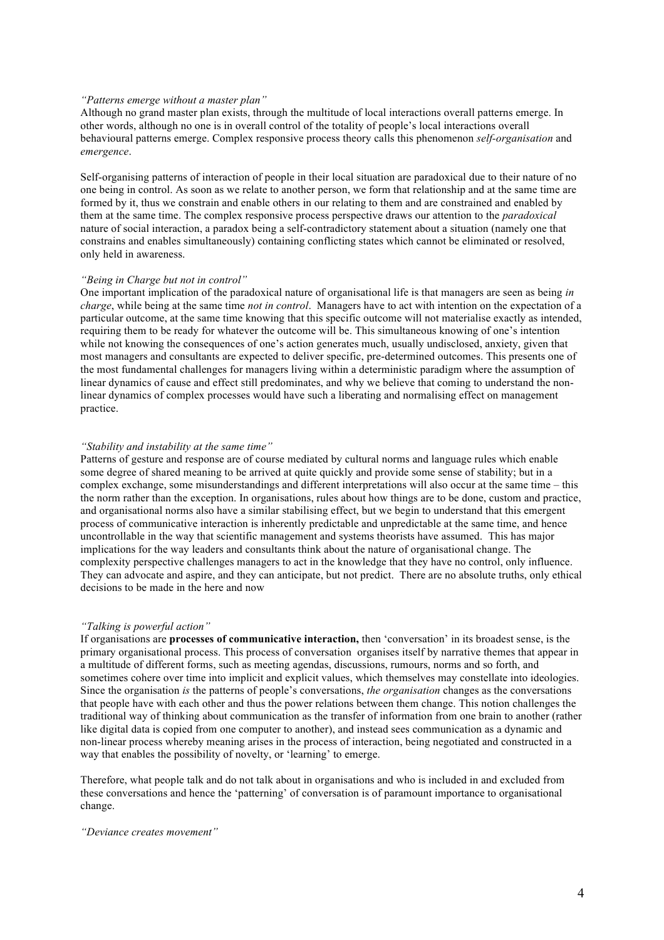## *"Patterns emerge without a master plan"*

Although no grand master plan exists, through the multitude of local interactions overall patterns emerge. In other words, although no one is in overall control of the totality of people's local interactions overall behavioural patterns emerge. Complex responsive process theory calls this phenomenon *self-organisation* and *emergence*.

Self-organising patterns of interaction of people in their local situation are paradoxical due to their nature of no one being in control. As soon as we relate to another person, we form that relationship and at the same time are formed by it, thus we constrain and enable others in our relating to them and are constrained and enabled by them at the same time. The complex responsive process perspective draws our attention to the *paradoxical* nature of social interaction, a paradox being a self-contradictory statement about a situation (namely one that constrains and enables simultaneously) containing conflicting states which cannot be eliminated or resolved, only held in awareness.

### *"Being in Charge but not in control"*

One important implication of the paradoxical nature of organisational life is that managers are seen as being *in charge*, while being at the same time *not in control*. Managers have to act with intention on the expectation of a particular outcome, at the same time knowing that this specific outcome will not materialise exactly as intended, requiring them to be ready for whatever the outcome will be. This simultaneous knowing of one's intention while not knowing the consequences of one's action generates much, usually undisclosed, anxiety, given that most managers and consultants are expected to deliver specific, pre-determined outcomes. This presents one of the most fundamental challenges for managers living within a deterministic paradigm where the assumption of linear dynamics of cause and effect still predominates, and why we believe that coming to understand the nonlinear dynamics of complex processes would have such a liberating and normalising effect on management practice.

## *"Stability and instability at the same time"*

Patterns of gesture and response are of course mediated by cultural norms and language rules which enable some degree of shared meaning to be arrived at quite quickly and provide some sense of stability; but in a complex exchange, some misunderstandings and different interpretations will also occur at the same time – this the norm rather than the exception. In organisations, rules about how things are to be done, custom and practice, and organisational norms also have a similar stabilising effect, but we begin to understand that this emergent process of communicative interaction is inherently predictable and unpredictable at the same time, and hence uncontrollable in the way that scientific management and systems theorists have assumed. This has major implications for the way leaders and consultants think about the nature of organisational change. The complexity perspective challenges managers to act in the knowledge that they have no control, only influence. They can advocate and aspire, and they can anticipate, but not predict. There are no absolute truths, only ethical decisions to be made in the here and now

## *"Talking is powerful action"*

If organisations are **processes of communicative interaction,** then 'conversation' in its broadest sense, is the primary organisational process. This process of conversation organises itself by narrative themes that appear in a multitude of different forms, such as meeting agendas, discussions, rumours, norms and so forth, and sometimes cohere over time into implicit and explicit values, which themselves may constellate into ideologies. Since the organisation *is* the patterns of people's conversations, *the organisation* changes as the conversations that people have with each other and thus the power relations between them change. This notion challenges the traditional way of thinking about communication as the transfer of information from one brain to another (rather like digital data is copied from one computer to another), and instead sees communication as a dynamic and non-linear process whereby meaning arises in the process of interaction, being negotiated and constructed in a way that enables the possibility of novelty, or 'learning' to emerge.

Therefore, what people talk and do not talk about in organisations and who is included in and excluded from these conversations and hence the 'patterning' of conversation is of paramount importance to organisational change.

*"Deviance creates movement"*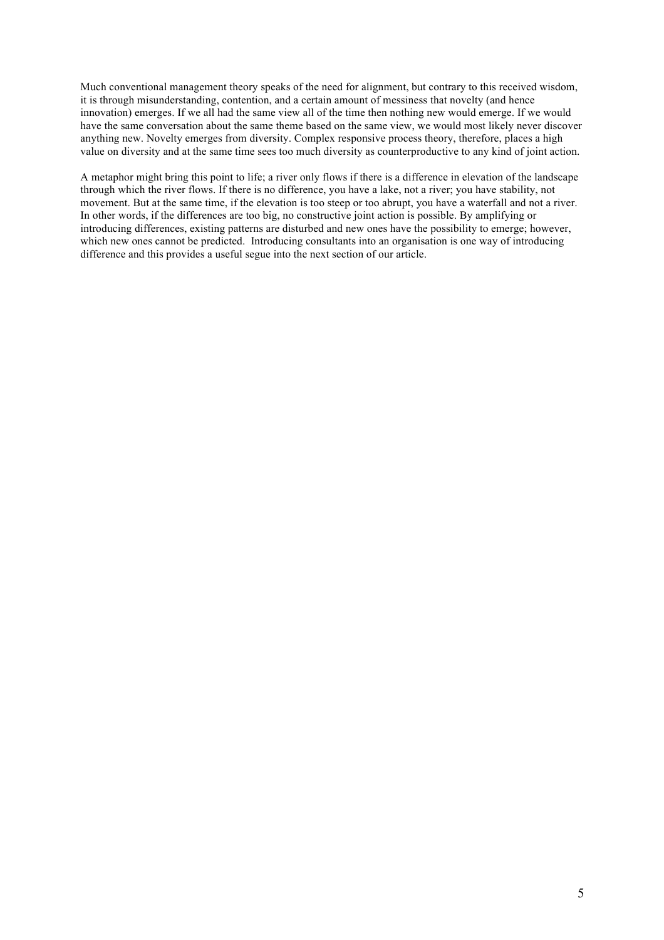Much conventional management theory speaks of the need for alignment, but contrary to this received wisdom, it is through misunderstanding, contention, and a certain amount of messiness that novelty (and hence innovation) emerges. If we all had the same view all of the time then nothing new would emerge. If we would have the same conversation about the same theme based on the same view, we would most likely never discover anything new. Novelty emerges from diversity. Complex responsive process theory, therefore, places a high value on diversity and at the same time sees too much diversity as counterproductive to any kind of joint action.

A metaphor might bring this point to life; a river only flows if there is a difference in elevation of the landscape through which the river flows. If there is no difference, you have a lake, not a river; you have stability, not movement. But at the same time, if the elevation is too steep or too abrupt, you have a waterfall and not a river. In other words, if the differences are too big, no constructive joint action is possible. By amplifying or introducing differences, existing patterns are disturbed and new ones have the possibility to emerge; however, which new ones cannot be predicted. Introducing consultants into an organisation is one way of introducing difference and this provides a useful segue into the next section of our article.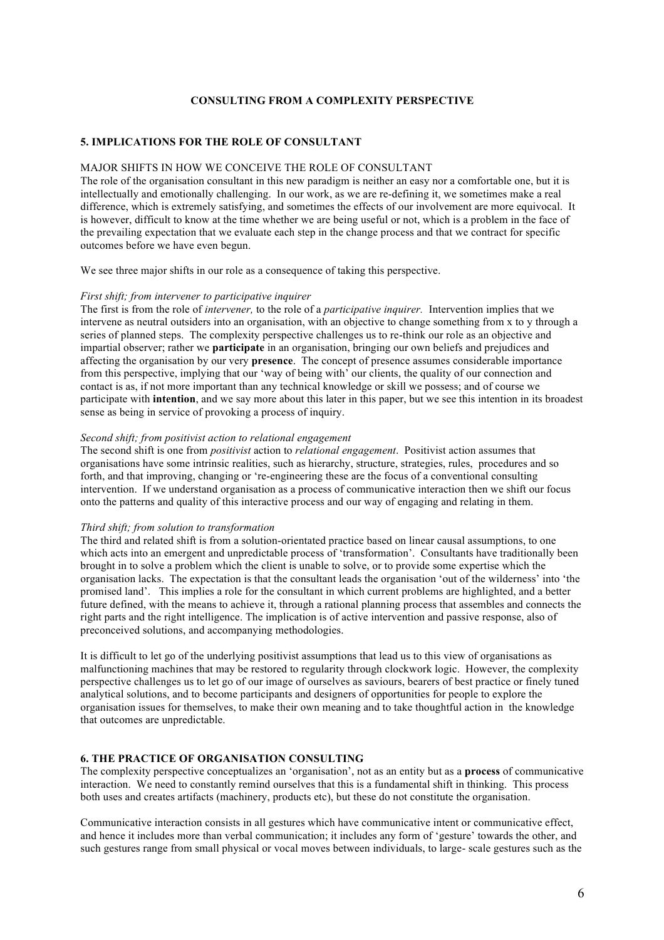## **CONSULTING FROM A COMPLEXITY PERSPECTIVE**

# **5. IMPLICATIONS FOR THE ROLE OF CONSULTANT**

## MAJOR SHIFTS IN HOW WE CONCEIVE THE ROLE OF CONSULTANT

The role of the organisation consultant in this new paradigm is neither an easy nor a comfortable one, but it is intellectually and emotionally challenging. In our work, as we are re-defining it, we sometimes make a real difference, which is extremely satisfying, and sometimes the effects of our involvement are more equivocal. It is however, difficult to know at the time whether we are being useful or not, which is a problem in the face of the prevailing expectation that we evaluate each step in the change process and that we contract for specific outcomes before we have even begun.

We see three major shifts in our role as a consequence of taking this perspective.

#### *First shift; from intervener to participative inquirer*

The first is from the role of *intervener,* to the role of a *participative inquirer.* Intervention implies that we intervene as neutral outsiders into an organisation, with an objective to change something from x to y through a series of planned steps. The complexity perspective challenges us to re-think our role as an objective and impartial observer; rather we **participate** in an organisation, bringing our own beliefs and prejudices and affecting the organisation by our very **presence**. The concept of presence assumes considerable importance from this perspective, implying that our 'way of being with' our clients, the quality of our connection and contact is as, if not more important than any technical knowledge or skill we possess; and of course we participate with **intention**, and we say more about this later in this paper, but we see this intention in its broadest sense as being in service of provoking a process of inquiry.

## *Second shift; from positivist action to relational engagement*

The second shift is one from *positivist* action to *relational engagement*. Positivist action assumes that organisations have some intrinsic realities, such as hierarchy, structure, strategies, rules, procedures and so forth, and that improving, changing or 're-engineering these are the focus of a conventional consulting intervention. If we understand organisation as a process of communicative interaction then we shift our focus onto the patterns and quality of this interactive process and our way of engaging and relating in them.

#### *Third shift; from solution to transformation*

The third and related shift is from a solution-orientated practice based on linear causal assumptions, to one which acts into an emergent and unpredictable process of 'transformation'. Consultants have traditionally been brought in to solve a problem which the client is unable to solve, or to provide some expertise which the organisation lacks. The expectation is that the consultant leads the organisation 'out of the wilderness' into 'the promised land'. This implies a role for the consultant in which current problems are highlighted, and a better future defined, with the means to achieve it, through a rational planning process that assembles and connects the right parts and the right intelligence. The implication is of active intervention and passive response, also of preconceived solutions, and accompanying methodologies.

It is difficult to let go of the underlying positivist assumptions that lead us to this view of organisations as malfunctioning machines that may be restored to regularity through clockwork logic. However, the complexity perspective challenges us to let go of our image of ourselves as saviours, bearers of best practice or finely tuned analytical solutions, and to become participants and designers of opportunities for people to explore the organisation issues for themselves, to make their own meaning and to take thoughtful action in the knowledge that outcomes are unpredictable.

## **6. THE PRACTICE OF ORGANISATION CONSULTING**

The complexity perspective conceptualizes an 'organisation', not as an entity but as a **process** of communicative interaction. We need to constantly remind ourselves that this is a fundamental shift in thinking. This process both uses and creates artifacts (machinery, products etc), but these do not constitute the organisation.

Communicative interaction consists in all gestures which have communicative intent or communicative effect, and hence it includes more than verbal communication; it includes any form of 'gesture' towards the other, and such gestures range from small physical or vocal moves between individuals, to large- scale gestures such as the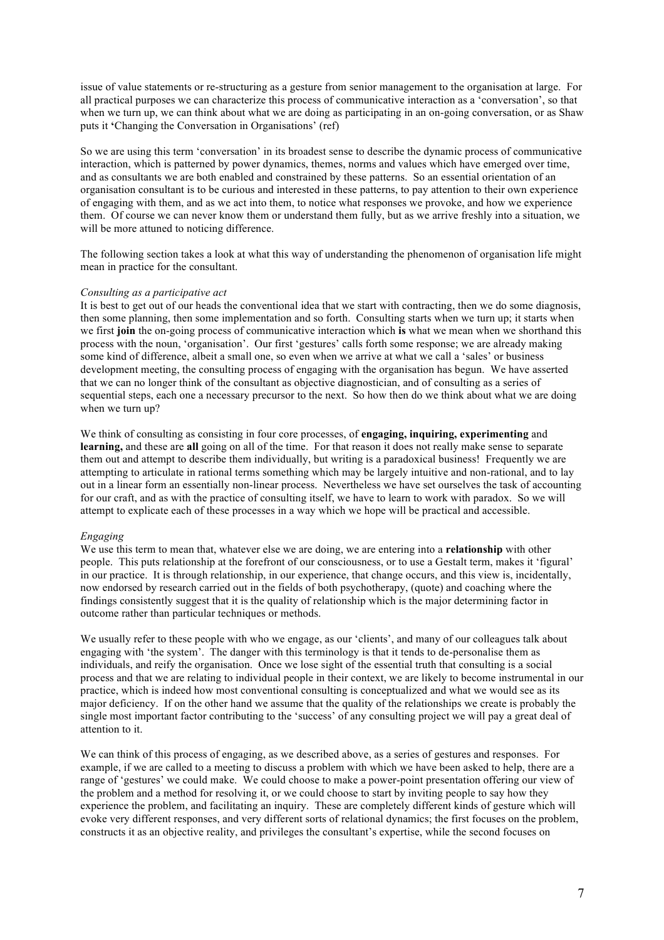issue of value statements or re-structuring as a gesture from senior management to the organisation at large. For all practical purposes we can characterize this process of communicative interaction as a 'conversation', so that when we turn up, we can think about what we are doing as participating in an on-going conversation, or as Shaw puts it **'**Changing the Conversation in Organisations' (ref)

So we are using this term 'conversation' in its broadest sense to describe the dynamic process of communicative interaction, which is patterned by power dynamics, themes, norms and values which have emerged over time, and as consultants we are both enabled and constrained by these patterns. So an essential orientation of an organisation consultant is to be curious and interested in these patterns, to pay attention to their own experience of engaging with them, and as we act into them, to notice what responses we provoke, and how we experience them. Of course we can never know them or understand them fully, but as we arrive freshly into a situation, we will be more attuned to noticing difference.

The following section takes a look at what this way of understanding the phenomenon of organisation life might mean in practice for the consultant.

### *Consulting as a participative act*

It is best to get out of our heads the conventional idea that we start with contracting, then we do some diagnosis, then some planning, then some implementation and so forth. Consulting starts when we turn up; it starts when we first **join** the on-going process of communicative interaction which **is** what we mean when we shorthand this process with the noun, 'organisation'. Our first 'gestures' calls forth some response; we are already making some kind of difference, albeit a small one, so even when we arrive at what we call a 'sales' or business development meeting, the consulting process of engaging with the organisation has begun. We have asserted that we can no longer think of the consultant as objective diagnostician, and of consulting as a series of sequential steps, each one a necessary precursor to the next. So how then do we think about what we are doing when we turn up?

We think of consulting as consisting in four core processes, of **engaging, inquiring, experimenting** and **learning,** and these are **all** going on all of the time. For that reason it does not really make sense to separate them out and attempt to describe them individually, but writing is a paradoxical business! Frequently we are attempting to articulate in rational terms something which may be largely intuitive and non-rational, and to lay out in a linear form an essentially non-linear process. Nevertheless we have set ourselves the task of accounting for our craft, and as with the practice of consulting itself, we have to learn to work with paradox. So we will attempt to explicate each of these processes in a way which we hope will be practical and accessible.

#### *Engaging*

We use this term to mean that, whatever else we are doing, we are entering into a **relationship** with other people. This puts relationship at the forefront of our consciousness, or to use a Gestalt term, makes it 'figural' in our practice. It is through relationship, in our experience, that change occurs, and this view is, incidentally, now endorsed by research carried out in the fields of both psychotherapy, (quote) and coaching where the findings consistently suggest that it is the quality of relationship which is the major determining factor in outcome rather than particular techniques or methods.

We usually refer to these people with who we engage, as our 'clients', and many of our colleagues talk about engaging with 'the system'. The danger with this terminology is that it tends to de-personalise them as individuals, and reify the organisation. Once we lose sight of the essential truth that consulting is a social process and that we are relating to individual people in their context, we are likely to become instrumental in our practice, which is indeed how most conventional consulting is conceptualized and what we would see as its major deficiency. If on the other hand we assume that the quality of the relationships we create is probably the single most important factor contributing to the 'success' of any consulting project we will pay a great deal of attention to it.

We can think of this process of engaging, as we described above, as a series of gestures and responses. For example, if we are called to a meeting to discuss a problem with which we have been asked to help, there are a range of 'gestures' we could make. We could choose to make a power-point presentation offering our view of the problem and a method for resolving it, or we could choose to start by inviting people to say how they experience the problem, and facilitating an inquiry. These are completely different kinds of gesture which will evoke very different responses, and very different sorts of relational dynamics; the first focuses on the problem, constructs it as an objective reality, and privileges the consultant's expertise, while the second focuses on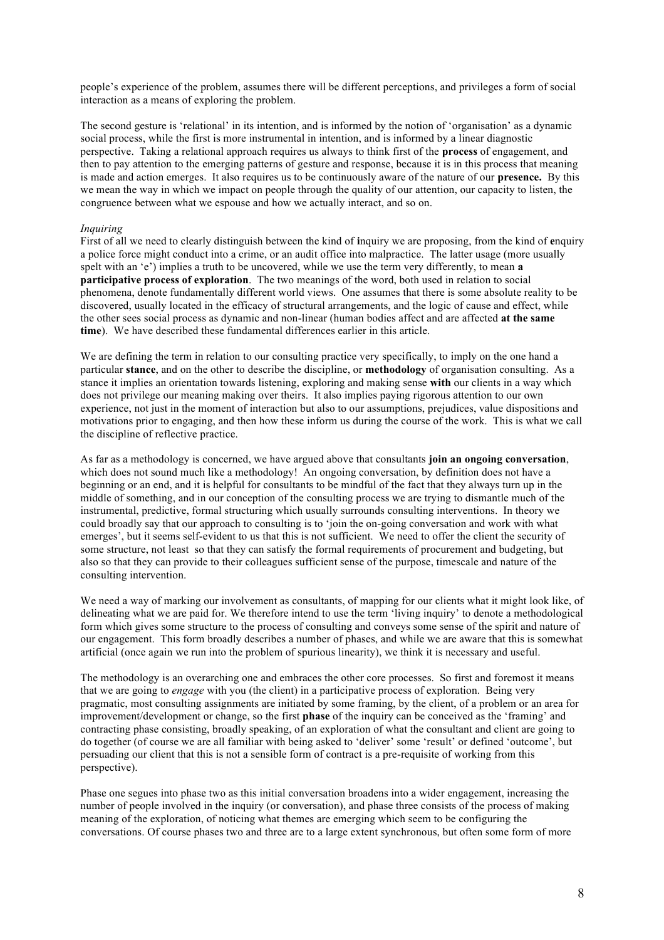people's experience of the problem, assumes there will be different perceptions, and privileges a form of social interaction as a means of exploring the problem.

The second gesture is 'relational' in its intention, and is informed by the notion of 'organisation' as a dynamic social process, while the first is more instrumental in intention, and is informed by a linear diagnostic perspective. Taking a relational approach requires us always to think first of the **process** of engagement, and then to pay attention to the emerging patterns of gesture and response, because it is in this process that meaning is made and action emerges. It also requires us to be continuously aware of the nature of our **presence.** By this we mean the way in which we impact on people through the quality of our attention, our capacity to listen, the congruence between what we espouse and how we actually interact, and so on.

## *Inquiring*

First of all we need to clearly distinguish between the kind of **i**nquiry we are proposing, from the kind of **e**nquiry a police force might conduct into a crime, or an audit office into malpractice. The latter usage (more usually spelt with an 'e') implies a truth to be uncovered, while we use the term very differently, to mean **a participative process of exploration**. The two meanings of the word, both used in relation to social phenomena, denote fundamentally different world views. One assumes that there is some absolute reality to be discovered, usually located in the efficacy of structural arrangements, and the logic of cause and effect, while the other sees social process as dynamic and non-linear (human bodies affect and are affected **at the same time**). We have described these fundamental differences earlier in this article.

We are defining the term in relation to our consulting practice very specifically, to imply on the one hand a particular **stance**, and on the other to describe the discipline, or **methodology** of organisation consulting. As a stance it implies an orientation towards listening, exploring and making sense **with** our clients in a way which does not privilege our meaning making over theirs. It also implies paying rigorous attention to our own experience, not just in the moment of interaction but also to our assumptions, prejudices, value dispositions and motivations prior to engaging, and then how these inform us during the course of the work. This is what we call the discipline of reflective practice.

As far as a methodology is concerned, we have argued above that consultants **join an ongoing conversation**, which does not sound much like a methodology! An ongoing conversation, by definition does not have a beginning or an end, and it is helpful for consultants to be mindful of the fact that they always turn up in the middle of something, and in our conception of the consulting process we are trying to dismantle much of the instrumental, predictive, formal structuring which usually surrounds consulting interventions. In theory we could broadly say that our approach to consulting is to 'join the on-going conversation and work with what emerges', but it seems self-evident to us that this is not sufficient. We need to offer the client the security of some structure, not least so that they can satisfy the formal requirements of procurement and budgeting, but also so that they can provide to their colleagues sufficient sense of the purpose, timescale and nature of the consulting intervention.

We need a way of marking our involvement as consultants, of mapping for our clients what it might look like, of delineating what we are paid for. We therefore intend to use the term 'living inquiry' to denote a methodological form which gives some structure to the process of consulting and conveys some sense of the spirit and nature of our engagement. This form broadly describes a number of phases, and while we are aware that this is somewhat artificial (once again we run into the problem of spurious linearity), we think it is necessary and useful.

The methodology is an overarching one and embraces the other core processes. So first and foremost it means that we are going to *engage* with you (the client) in a participative process of exploration. Being very pragmatic, most consulting assignments are initiated by some framing, by the client, of a problem or an area for improvement/development or change, so the first **phase** of the inquiry can be conceived as the 'framing' and contracting phase consisting, broadly speaking, of an exploration of what the consultant and client are going to do together (of course we are all familiar with being asked to 'deliver' some 'result' or defined 'outcome', but persuading our client that this is not a sensible form of contract is a pre-requisite of working from this perspective).

Phase one segues into phase two as this initial conversation broadens into a wider engagement, increasing the number of people involved in the inquiry (or conversation), and phase three consists of the process of making meaning of the exploration, of noticing what themes are emerging which seem to be configuring the conversations. Of course phases two and three are to a large extent synchronous, but often some form of more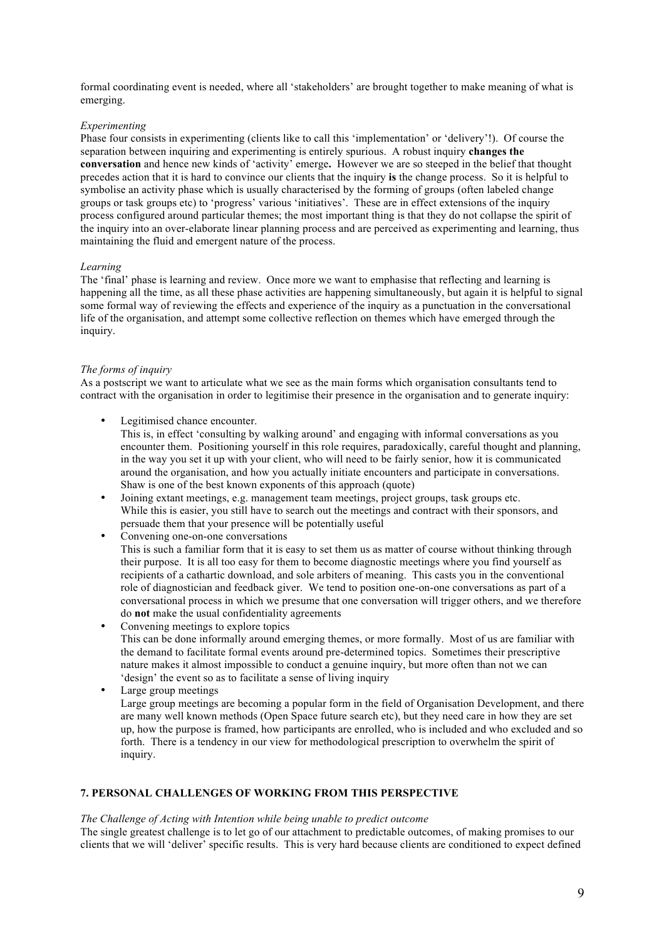formal coordinating event is needed, where all 'stakeholders' are brought together to make meaning of what is emerging.

## *Experimenting*

Phase four consists in experimenting (clients like to call this 'implementation' or 'delivery'!). Of course the separation between inquiring and experimenting is entirely spurious. A robust inquiry **changes the conversation** and hence new kinds of 'activity' emerge**.** However we are so steeped in the belief that thought precedes action that it is hard to convince our clients that the inquiry **is** the change process. So it is helpful to symbolise an activity phase which is usually characterised by the forming of groups (often labeled change groups or task groups etc) to 'progress' various 'initiatives'. These are in effect extensions of the inquiry process configured around particular themes; the most important thing is that they do not collapse the spirit of the inquiry into an over-elaborate linear planning process and are perceived as experimenting and learning, thus maintaining the fluid and emergent nature of the process.

### *Learning*

The 'final' phase is learning and review. Once more we want to emphasise that reflecting and learning is happening all the time, as all these phase activities are happening simultaneously, but again it is helpful to signal some formal way of reviewing the effects and experience of the inquiry as a punctuation in the conversational life of the organisation, and attempt some collective reflection on themes which have emerged through the inquiry.

## *The forms of inquiry*

As a postscript we want to articulate what we see as the main forms which organisation consultants tend to contract with the organisation in order to legitimise their presence in the organisation and to generate inquiry:

Legitimised chance encounter.

This is, in effect 'consulting by walking around' and engaging with informal conversations as you encounter them. Positioning yourself in this role requires, paradoxically, careful thought and planning, in the way you set it up with your client, who will need to be fairly senior, how it is communicated around the organisation, and how you actually initiate encounters and participate in conversations. Shaw is one of the best known exponents of this approach (quote)

- Joining extant meetings, e.g. management team meetings, project groups, task groups etc. While this is easier, you still have to search out the meetings and contract with their sponsors, and persuade them that your presence will be potentially useful
- Convening one-on-one conversations

This is such a familiar form that it is easy to set them us as matter of course without thinking through their purpose. It is all too easy for them to become diagnostic meetings where you find yourself as recipients of a cathartic download, and sole arbiters of meaning. This casts you in the conventional role of diagnostician and feedback giver. We tend to position one-on-one conversations as part of a conversational process in which we presume that one conversation will trigger others, and we therefore do **not** make the usual confidentiality agreements

- Convening meetings to explore topics This can be done informally around emerging themes, or more formally. Most of us are familiar with the demand to facilitate formal events around pre-determined topics. Sometimes their prescriptive nature makes it almost impossible to conduct a genuine inquiry, but more often than not we can 'design' the event so as to facilitate a sense of living inquiry
	- Large group meetings Large group meetings are becoming a popular form in the field of Organisation Development, and there are many well known methods (Open Space future search etc), but they need care in how they are set up, how the purpose is framed, how participants are enrolled, who is included and who excluded and so forth. There is a tendency in our view for methodological prescription to overwhelm the spirit of inquiry.

# **7. PERSONAL CHALLENGES OF WORKING FROM THIS PERSPECTIVE**

# *The Challenge of Acting with Intention while being unable to predict outcome*

The single greatest challenge is to let go of our attachment to predictable outcomes, of making promises to our clients that we will 'deliver' specific results. This is very hard because clients are conditioned to expect defined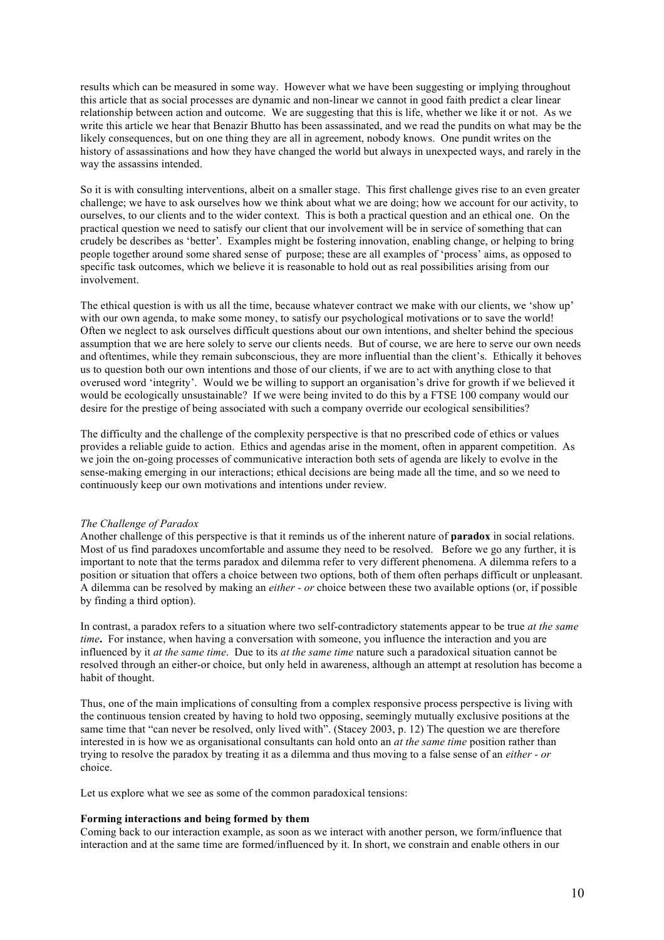results which can be measured in some way. However what we have been suggesting or implying throughout this article that as social processes are dynamic and non-linear we cannot in good faith predict a clear linear relationship between action and outcome. We are suggesting that this is life, whether we like it or not. As we write this article we hear that Benazir Bhutto has been assassinated, and we read the pundits on what may be the likely consequences, but on one thing they are all in agreement, nobody knows. One pundit writes on the history of assassinations and how they have changed the world but always in unexpected ways, and rarely in the way the assassins intended.

So it is with consulting interventions, albeit on a smaller stage. This first challenge gives rise to an even greater challenge; we have to ask ourselves how we think about what we are doing; how we account for our activity, to ourselves, to our clients and to the wider context. This is both a practical question and an ethical one. On the practical question we need to satisfy our client that our involvement will be in service of something that can crudely be describes as 'better'. Examples might be fostering innovation, enabling change, or helping to bring people together around some shared sense of purpose; these are all examples of 'process' aims, as opposed to specific task outcomes, which we believe it is reasonable to hold out as real possibilities arising from our involvement.

The ethical question is with us all the time, because whatever contract we make with our clients, we 'show up' with our own agenda, to make some money, to satisfy our psychological motivations or to save the world! Often we neglect to ask ourselves difficult questions about our own intentions, and shelter behind the specious assumption that we are here solely to serve our clients needs. But of course, we are here to serve our own needs and oftentimes, while they remain subconscious, they are more influential than the client's. Ethically it behoves us to question both our own intentions and those of our clients, if we are to act with anything close to that overused word 'integrity'. Would we be willing to support an organisation's drive for growth if we believed it would be ecologically unsustainable? If we were being invited to do this by a FTSE 100 company would our desire for the prestige of being associated with such a company override our ecological sensibilities?

The difficulty and the challenge of the complexity perspective is that no prescribed code of ethics or values provides a reliable guide to action. Ethics and agendas arise in the moment, often in apparent competition. As we join the on-going processes of communicative interaction both sets of agenda are likely to evolve in the sense-making emerging in our interactions; ethical decisions are being made all the time, and so we need to continuously keep our own motivations and intentions under review.

### *The Challenge of Paradox*

Another challenge of this perspective is that it reminds us of the inherent nature of **paradox** in social relations. Most of us find paradoxes uncomfortable and assume they need to be resolved.Before we go any further, it is important to note that the terms paradox and dilemma refer to very different phenomena. A dilemma refers to a position or situation that offers a choice between two options, both of them often perhaps difficult or unpleasant. A dilemma can be resolved by making an *either - or* choice between these two available options (or, if possible by finding a third option).

In contrast, a paradox refers to a situation where two self-contradictory statements appear to be true *at the same time***.** For instance, when having a conversation with someone, you influence the interaction and you are influenced by it *at the same time*. Due to its *at the same time* nature such a paradoxical situation cannot be resolved through an either-or choice, but only held in awareness, although an attempt at resolution has become a habit of thought.

Thus, one of the main implications of consulting from a complex responsive process perspective is living with the continuous tension created by having to hold two opposing, seemingly mutually exclusive positions at the same time that "can never be resolved, only lived with". (Stacey 2003, p. 12) The question we are therefore interested in is how we as organisational consultants can hold onto an *at the same time* position rather than trying to resolve the paradox by treating it as a dilemma and thus moving to a false sense of an *either - or*  choice.

Let us explore what we see as some of the common paradoxical tensions:

### **Forming interactions and being formed by them**

Coming back to our interaction example, as soon as we interact with another person, we form/influence that interaction and at the same time are formed/influenced by it. In short, we constrain and enable others in our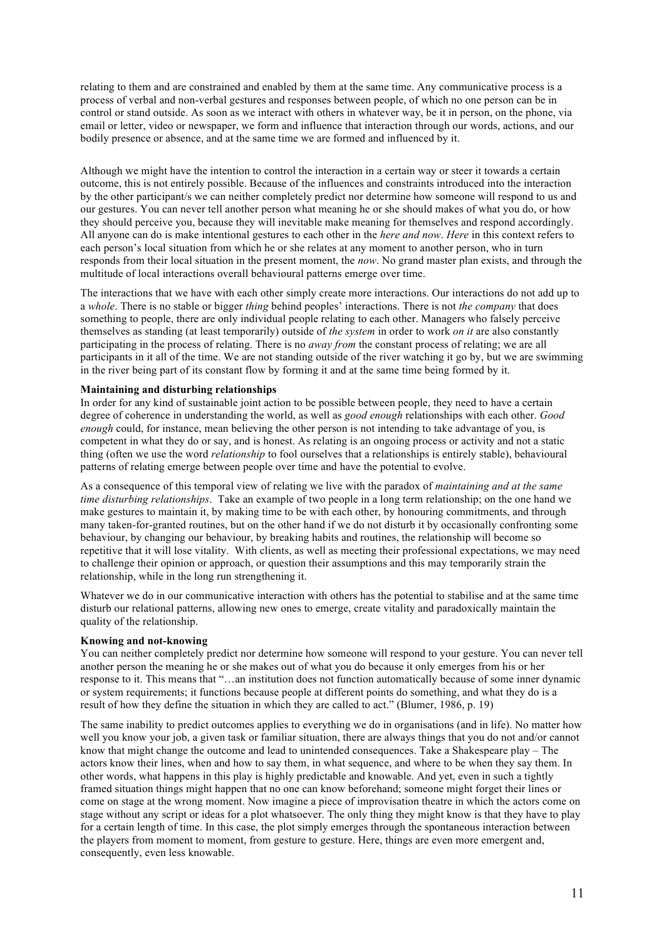relating to them and are constrained and enabled by them at the same time. Any communicative process is a process of verbal and non-verbal gestures and responses between people, of which no one person can be in control or stand outside. As soon as we interact with others in whatever way, be it in person, on the phone, via email or letter, video or newspaper, we form and influence that interaction through our words, actions, and our bodily presence or absence, and at the same time we are formed and influenced by it.

Although we might have the intention to control the interaction in a certain way or steer it towards a certain outcome, this is not entirely possible. Because of the influences and constraints introduced into the interaction by the other participant/s we can neither completely predict nor determine how someone will respond to us and our gestures. You can never tell another person what meaning he or she should makes of what you do, or how they should perceive you, because they will inevitable make meaning for themselves and respond accordingly. All anyone can do is make intentional gestures to each other in the *here and now*. *Here* in this context refers to each person's local situation from which he or she relates at any moment to another person, who in turn responds from their local situation in the present moment, the *now*. No grand master plan exists, and through the multitude of local interactions overall behavioural patterns emerge over time.

The interactions that we have with each other simply create more interactions. Our interactions do not add up to a *whole*. There is no stable or bigger *thing* behind peoples' interactions. There is not *the company* that does something to people, there are only individual people relating to each other. Managers who falsely perceive themselves as standing (at least temporarily) outside of *the system* in order to work *on it* are also constantly participating in the process of relating. There is no *away from* the constant process of relating; we are all participants in it all of the time. We are not standing outside of the river watching it go by, but we are swimming in the river being part of its constant flow by forming it and at the same time being formed by it.

## **Maintaining and disturbing relationships**

In order for any kind of sustainable joint action to be possible between people, they need to have a certain degree of coherence in understanding the world, as well as *good enough* relationships with each other. *Good enough* could, for instance, mean believing the other person is not intending to take advantage of you, is competent in what they do or say, and is honest. As relating is an ongoing process or activity and not a static thing (often we use the word *relationship* to fool ourselves that a relationships is entirely stable), behavioural patterns of relating emerge between people over time and have the potential to evolve.

As a consequence of this temporal view of relating we live with the paradox of *maintaining and at the same time disturbing relationships*. Take an example of two people in a long term relationship; on the one hand we make gestures to maintain it, by making time to be with each other, by honouring commitments, and through many taken-for-granted routines, but on the other hand if we do not disturb it by occasionally confronting some behaviour, by changing our behaviour, by breaking habits and routines, the relationship will become so repetitive that it will lose vitality. With clients, as well as meeting their professional expectations, we may need to challenge their opinion or approach, or question their assumptions and this may temporarily strain the relationship, while in the long run strengthening it.

Whatever we do in our communicative interaction with others has the potential to stabilise and at the same time disturb our relational patterns, allowing new ones to emerge, create vitality and paradoxically maintain the quality of the relationship.

## **Knowing and not-knowing**

You can neither completely predict nor determine how someone will respond to your gesture. You can never tell another person the meaning he or she makes out of what you do because it only emerges from his or her response to it. This means that "…an institution does not function automatically because of some inner dynamic or system requirements; it functions because people at different points do something, and what they do is a result of how they define the situation in which they are called to act." (Blumer, 1986, p. 19)

The same inability to predict outcomes applies to everything we do in organisations (and in life). No matter how well you know your job, a given task or familiar situation, there are always things that you do not and/or cannot know that might change the outcome and lead to unintended consequences. Take a Shakespeare play – The actors know their lines, when and how to say them, in what sequence, and where to be when they say them. In other words, what happens in this play is highly predictable and knowable. And yet, even in such a tightly framed situation things might happen that no one can know beforehand; someone might forget their lines or come on stage at the wrong moment. Now imagine a piece of improvisation theatre in which the actors come on stage without any script or ideas for a plot whatsoever. The only thing they might know is that they have to play for a certain length of time. In this case, the plot simply emerges through the spontaneous interaction between the players from moment to moment, from gesture to gesture. Here, things are even more emergent and, consequently, even less knowable.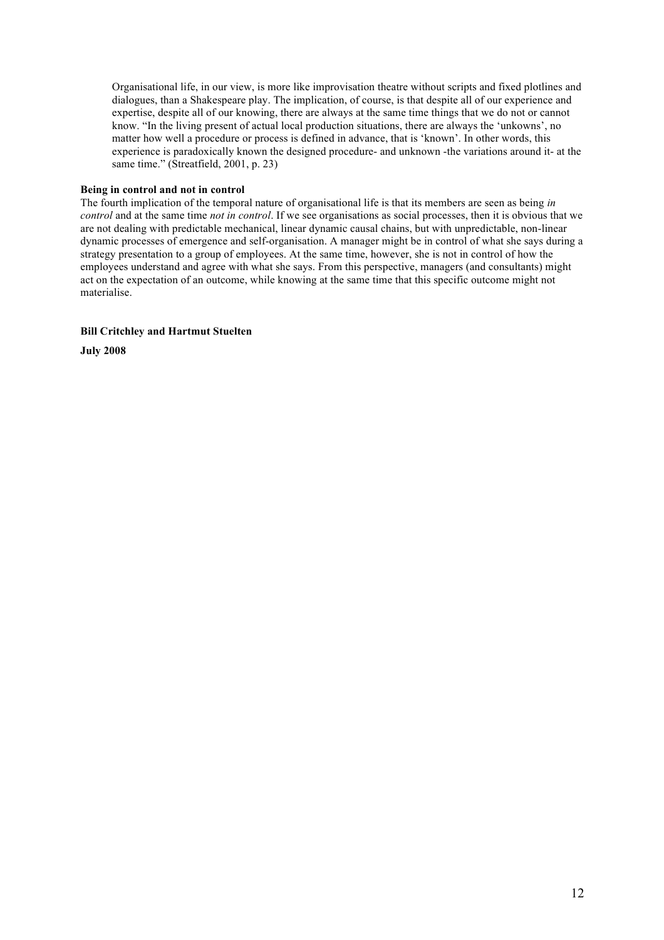Organisational life, in our view, is more like improvisation theatre without scripts and fixed plotlines and dialogues, than a Shakespeare play. The implication, of course, is that despite all of our experience and expertise, despite all of our knowing, there are always at the same time things that we do not or cannot know. "In the living present of actual local production situations, there are always the 'unkowns', no matter how well a procedure or process is defined in advance, that is 'known'. In other words, this experience is paradoxically known the designed procedure- and unknown -the variations around it- at the same time." (Streatfield, 2001, p. 23)

## **Being in control and not in control**

The fourth implication of the temporal nature of organisational life is that its members are seen as being *in control* and at the same time *not in control*. If we see organisations as social processes, then it is obvious that we are not dealing with predictable mechanical, linear dynamic causal chains, but with unpredictable, non-linear dynamic processes of emergence and self-organisation. A manager might be in control of what she says during a strategy presentation to a group of employees. At the same time, however, she is not in control of how the employees understand and agree with what she says. From this perspective, managers (and consultants) might act on the expectation of an outcome, while knowing at the same time that this specific outcome might not materialise.

## **Bill Critchley and Hartmut Stuelten**

**July 2008**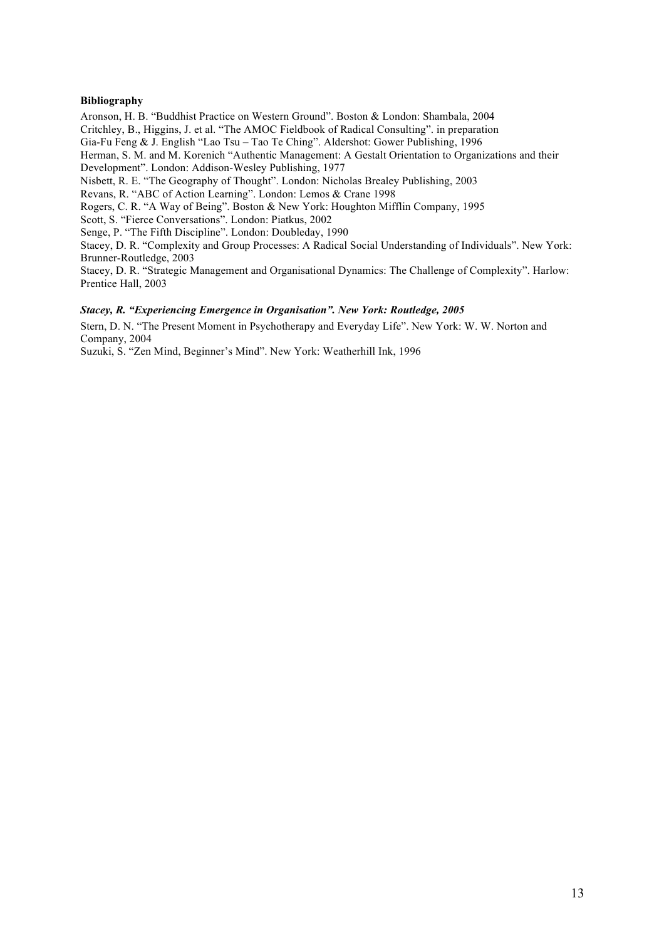## **Bibliography**

Aronson, H. B. "Buddhist Practice on Western Ground". Boston & London: Shambala, 2004 Critchley, B., Higgins, J. et al. "The AMOC Fieldbook of Radical Consulting". in preparation Gia-Fu Feng & J. English "Lao Tsu – Tao Te Ching". Aldershot: Gower Publishing, 1996 Herman, S. M. and M. Korenich "Authentic Management: A Gestalt Orientation to Organizations and their Development". London: Addison-Wesley Publishing, 1977 Nisbett, R. E. "The Geography of Thought". London: Nicholas Brealey Publishing, 2003

Revans, R. "ABC of Action Learning". London: Lemos & Crane 1998

Rogers, C. R. "A Way of Being". Boston & New York: Houghton Mifflin Company, 1995

Scott, S. "Fierce Conversations". London: Piatkus, 2002

Senge, P. "The Fifth Discipline". London: Doubleday, 1990

Stacey, D. R. "Complexity and Group Processes: A Radical Social Understanding of Individuals". New York: Brunner-Routledge, 2003

Stacey, D. R. "Strategic Management and Organisational Dynamics: The Challenge of Complexity". Harlow: Prentice Hall, 2003

## *Stacey, R. "Experiencing Emergence in Organisation". New York: Routledge, 2005*

Stern, D. N. "The Present Moment in Psychotherapy and Everyday Life". New York: W. W. Norton and Company, 2004

Suzuki, S. "Zen Mind, Beginner's Mind". New York: Weatherhill Ink, 1996